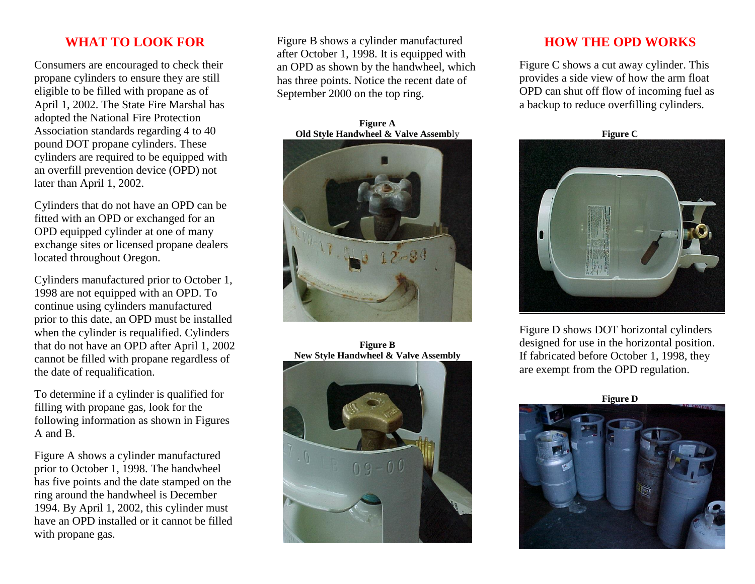## **WHAT TO LOOK FOR**

Consumers are encouraged to check their propane cylinders to ensure they are still eligible to be filled with propane as of April 1, 2002. The State Fire Marshal has adopted the National Fire Protection Association standards regarding 4 to 40 pound DOT propane cylinders. These cylinders are required to be equipped with an overfill prevention device (OPD) not later than April 1, 2002.

Cylinders that do not have an OPD can be fitted with an OPD or exchanged for an OPD equipped cylinder at one of many exchange sites or licensed propane dealers located throughout Oregon.

Cylinders manufactured prior to October 1, 1998 are not equipped with an OPD. To continue using cylinders manufactured prior to this date, an OPD must be installed when the cylinder is requalified. Cylinders that do not have an OPD after April 1, 2002 cannot be filled with propane regardless of the date of requalification.

To determine if a cylinder is qualified for filling with propane gas, look for the following information as shown in Figures A and B.

Figure A shows a cylinder manufactured prior to October 1, 1998. The handwheel has five points and the date stamped on the ring around the handwheel is December 1994. By April 1, 2002, this cylinder must have an OPD installed or it cannot be filled with propane gas.

Figure B shows a cylinder manufactured after October 1, 1998. It is equipped with an OPD as shown by the handwheel, which has three points. Notice the recent date of September 2000 on the top ring.

**Figure A Old Style Handwheel & Valve Assemb**ly



**Figure B New Style Handwheel & Valve Assembly**



### **HOW THE OPD WORKS**

Figure C shows a cut away cylinder. This provides a side view of how the arm float OPD can shut off flow of incoming fuel as a backup to reduce overfilling cylinders.

**Figure C**



Figure D shows DOT horizontal cylinders designed for use in the horizontal position. If fabricated before October 1, 1998, they are exempt from the OPD regulation.

**Figure D**